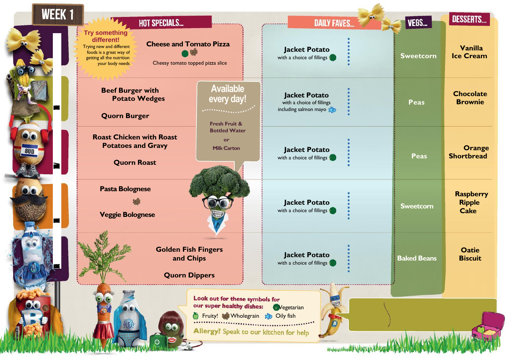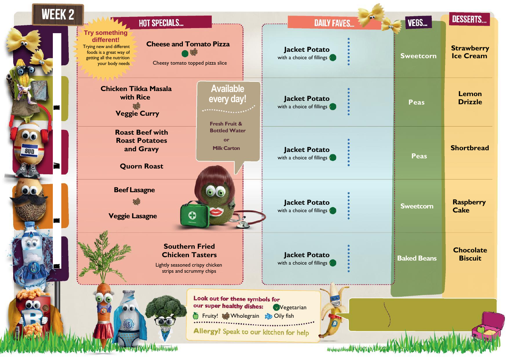